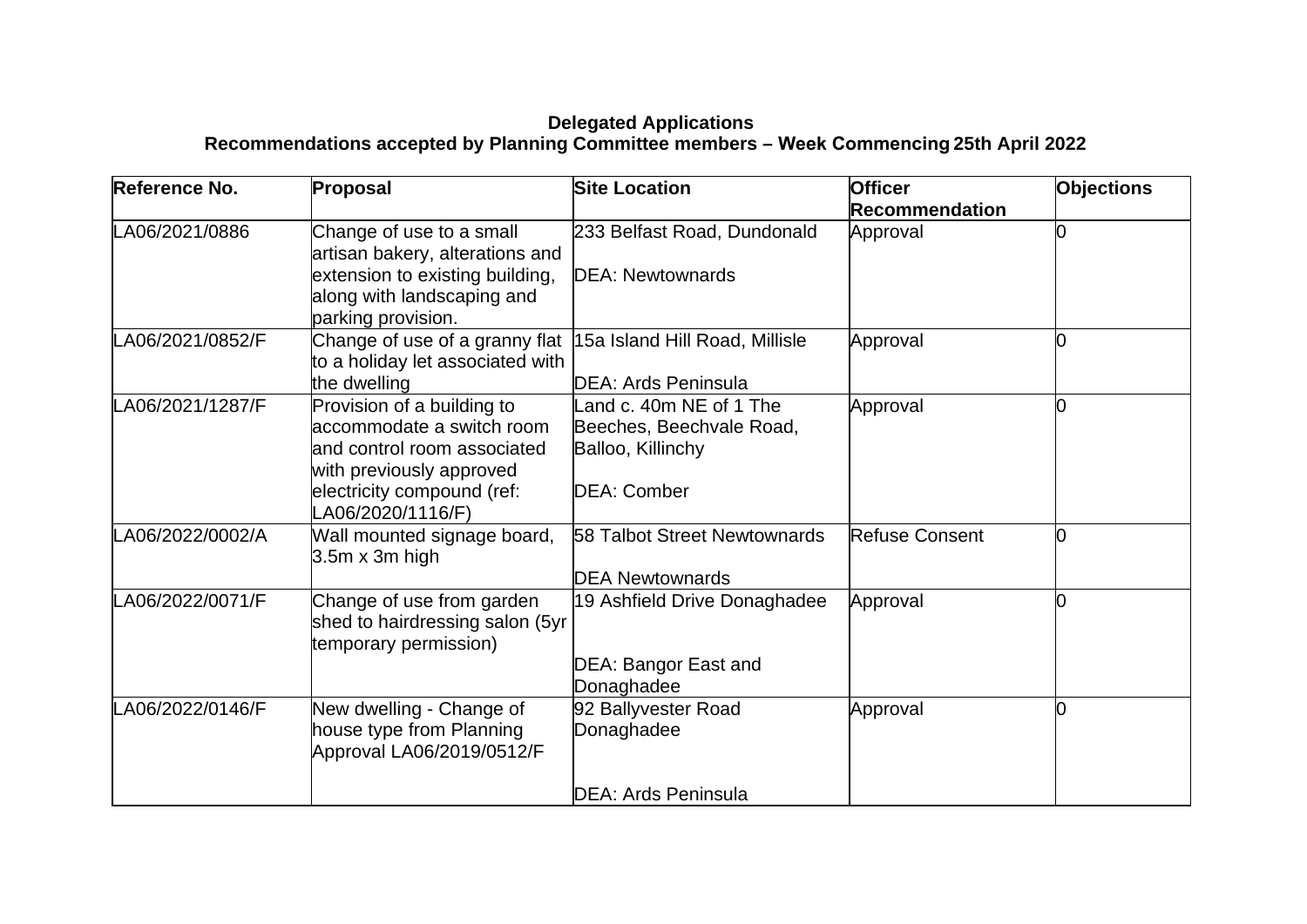## **Delegated Applications Recommendations accepted by Planning Committee members – Week Commencing 25th April 2022**

| Reference No.    | Proposal                                                                                                                                                              | <b>Site Location</b>                                                                           | <b>Officer</b><br><b>Recommendation</b> | <b>Objections</b> |
|------------------|-----------------------------------------------------------------------------------------------------------------------------------------------------------------------|------------------------------------------------------------------------------------------------|-----------------------------------------|-------------------|
| LA06/2021/0886   | Change of use to a small<br>artisan bakery, alterations and<br>extension to existing building,<br>along with landscaping and<br>parking provision.                    | 233 Belfast Road, Dundonald<br><b>DEA: Newtownards</b>                                         | Approval                                |                   |
| LA06/2021/0852/F | Change of use of a granny flat 15a Island Hill Road, Millisle<br>to a holiday let associated with<br>the dwelling                                                     | DEA: Ards Peninsula                                                                            | Approval                                |                   |
| LA06/2021/1287/F | Provision of a building to<br>accommodate a switch room<br>and control room associated<br>with previously approved<br>electricity compound (ref:<br>LA06/2020/1116/F) | Land c. 40m NE of 1 The<br>Beeches, Beechvale Road,<br>Balloo, Killinchy<br><b>DEA: Comber</b> | Approval                                |                   |
| LA06/2022/0002/A | Wall mounted signage board,<br>$3.5m \times 3m$ high                                                                                                                  | 58 Talbot Street Newtownards<br><b>DEA Newtownards</b>                                         | Refuse Consent                          |                   |
| LA06/2022/0071/F | Change of use from garden<br>shed to hairdressing salon (5yr<br>temporary permission)                                                                                 | 19 Ashfield Drive Donaghadee<br>DEA: Bangor East and<br>Donaghadee                             | Approval                                |                   |
| LA06/2022/0146/F | New dwelling - Change of<br>house type from Planning<br>Approval LA06/2019/0512/F                                                                                     | 92 Ballyvester Road<br>Donaghadee                                                              | Approval                                |                   |
|                  |                                                                                                                                                                       | <b>DEA: Ards Peninsula</b>                                                                     |                                         |                   |